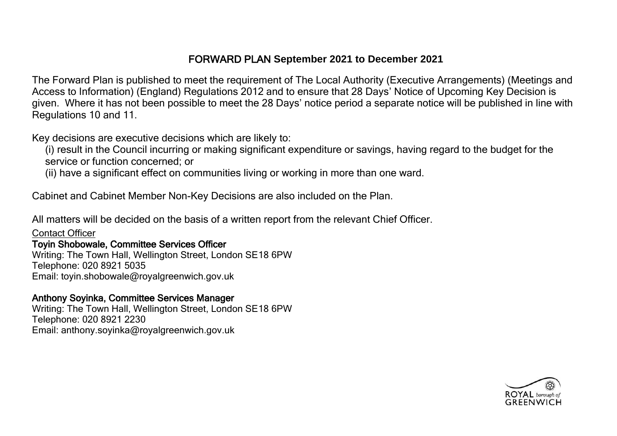# FORWARD PLAN **September 2021 to December 2021**

The Forward Plan is published to meet the requirement of The Local Authority (Executive Arrangements) (Meetings and Access to Information) (England) Regulations 2012 and to ensure that 28 Days' Notice of Upcoming Key Decision is given. Where it has not been possible to meet the 28 Days' notice period a separate notice will be published in line with Regulations 10 and 11.

Key decisions are executive decisions which are likely to:

(i) result in the Council incurring or making significant expenditure or savings, having regard to the budget for the service or function concerned; or

(ii) have a significant effect on communities living or working in more than one ward.

Cabinet and Cabinet Member Non-Key Decisions are also included on the Plan.

All matters will be decided on the basis of a written report from the relevant Chief Officer.

Contact Officer

### Toyin Shobowale, Committee Services Officer

Writing: The Town Hall, Wellington Street, London SE18 6PW Telephone: 020 8921 5035 Email: toyin.shobowale@royalgreenwich.gov.uk

Anthony Soyinka, Committee Services Manager Writing: The Town Hall, Wellington Street, London SE18 6PW

Telephone: 020 8921 2230 Email: anthony.soyinka@royalgreenwich.gov.uk

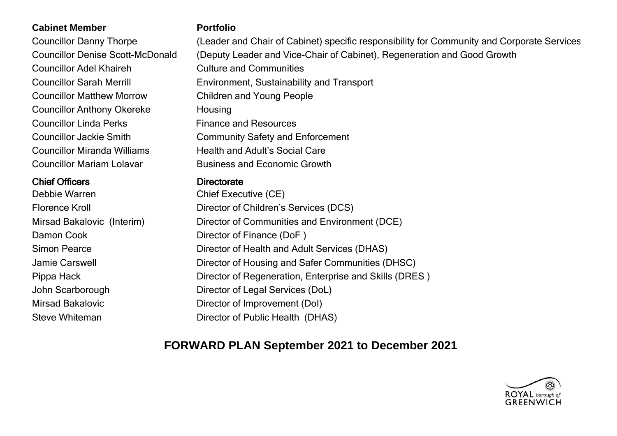### **Cabinet Member Portfolio**

Councillor Adel Khaireh Culture and Communities Councillor Matthew Morrow Children and Young People Councillor Anthony Okereke Housing Councillor Linda Perks Finance and Resources Councillor Miranda Williams Health and Adult's Social Care Councillor Mariam Lolavar Business and Economic Growth

## Chief Officers **Directorate**

Debbie Warren Chief Executive (CE) Damon Cook Director of Finance (DoF)

Councillor Danny Thorpe (Leader and Chair of Cabinet) specific responsibility for Community and Corporate Services Councillor Denise Scott-McDonald (Deputy Leader and Vice-Chair of Cabinet), Regeneration and Good Growth Councillor Sarah Merrill Environment, Sustainability and Transport Councillor Jackie Smith Community Safety and Enforcement

Florence Kroll **Director of Children's Services (DCS)** Mirsad Bakalovic (Interim) Director of Communities and Environment (DCE) Simon Pearce **Director of Health and Adult Services (DHAS)** Jamie Carswell **Director of Housing and Safer Communities (DHSC)** Pippa Hack **Director of Regeneration**, Enterprise and Skills (DRES ) John Scarborough Director of Legal Services (DoL) Mirsad Bakalovic Director of Improvement (DoI) Steve Whiteman Director of Public Health (DHAS)

# **FORWARD PLAN September 2021 to December 2021**

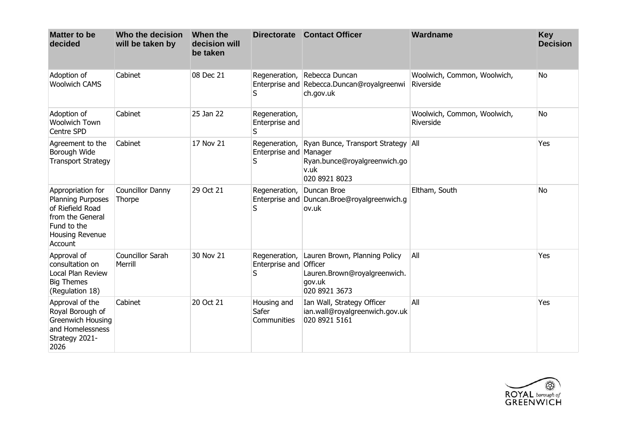| <b>Matter to be</b><br>decided                                                                                                     | Who the decision<br>will be taken by | When the<br>decision will<br>be taken | <b>Directorate</b>                           | <b>Contact Officer</b>                                                                                    | Wardname                                 | <b>Key</b><br><b>Decision</b> |
|------------------------------------------------------------------------------------------------------------------------------------|--------------------------------------|---------------------------------------|----------------------------------------------|-----------------------------------------------------------------------------------------------------------|------------------------------------------|-------------------------------|
| Adoption of<br><b>Woolwich CAMS</b>                                                                                                | Cabinet                              | 08 Dec 21                             | Regeneration,<br>S                           | Rebecca Duncan<br>Enterprise and Rebecca.Duncan@royalgreenwi<br>ch.gov.uk                                 | Woolwich, Common, Woolwich,<br>Riverside | <b>No</b>                     |
| Adoption of<br><b>Woolwich Town</b><br><b>Centre SPD</b>                                                                           | Cabinet                              | 25 Jan 22                             | Regeneration,<br>Enterprise and<br>S         |                                                                                                           | Woolwich, Common, Woolwich,<br>Riverside | <b>No</b>                     |
| Agreement to the<br>Borough Wide<br><b>Transport Strategy</b>                                                                      | Cabinet                              | 17 Nov 21                             | Enterprise and Manager<br>S                  | Regeneration, Ryan Bunce, Transport Strategy All<br>Ryan.bunce@royalgreenwich.go<br>v.uk<br>020 8921 8023 |                                          | Yes                           |
| Appropriation for<br><b>Planning Purposes</b><br>of Riefield Road<br>from the General<br>Fund to the<br>Housing Revenue<br>Account | <b>Councillor Danny</b><br>Thorpe    | 29 Oct 21                             | Regeneration,<br>S                           | Duncan Broe<br>Enterprise and Duncan.Broe@royalgreenwich.g<br>ov.uk                                       | Eltham, South                            | <b>No</b>                     |
| Approval of<br>consultation on<br>Local Plan Review<br><b>Big Themes</b><br>(Regulation 18)                                        | Councillor Sarah<br>Merrill          | 30 Nov 21                             | Regeneration,<br>Enterprise and Officer<br>S | Lauren Brown, Planning Policy<br>Lauren.Brown@royalgreenwich.<br>gov.uk<br>020 8921 3673                  | All                                      | Yes                           |
| Approval of the<br>Royal Borough of<br><b>Greenwich Housing</b><br>and Homelessness<br>Strategy 2021-<br>2026                      | Cabinet                              | 20 Oct 21                             | Housing and<br>Safer<br>Communities          | Ian Wall, Strategy Officer<br>ian.wall@royalgreenwich.gov.uk<br>020 8921 5161                             | All                                      | Yes                           |

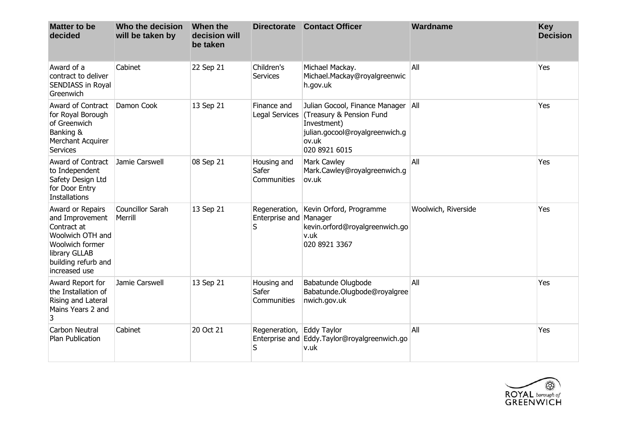| <b>Matter to be</b><br>decided                                                                                                                     | Who the decision<br>will be taken by | When the<br>decision will<br>be taken |                                              | Directorate Contact Officer                                                                                                                          | Wardname            | <b>Key</b><br><b>Decision</b> |
|----------------------------------------------------------------------------------------------------------------------------------------------------|--------------------------------------|---------------------------------------|----------------------------------------------|------------------------------------------------------------------------------------------------------------------------------------------------------|---------------------|-------------------------------|
| Award of a<br>contract to deliver<br><b>SENDIASS in Royal</b><br>Greenwich                                                                         | Cabinet                              | 22 Sep 21                             | Children's<br>Services                       | Michael Mackay.<br>Michael.Mackay@royalgreenwic<br>h.gov.uk                                                                                          | All                 | Yes                           |
| <b>Award of Contract</b><br>for Royal Borough<br>of Greenwich<br>Banking &<br>Merchant Acquirer<br><b>Services</b>                                 | Damon Cook                           | 13 Sep 21                             | Finance and                                  | Julian Gocool, Finance Manager<br>Legal Services (Treasury & Pension Fund<br>Investment)<br>julian.gocool@royalgreenwich.g<br>ov.uk<br>020 8921 6015 | All                 | Yes                           |
| <b>Award of Contract</b><br>to Independent<br>Safety Design Ltd<br>for Door Entry<br>Installations                                                 | Jamie Carswell                       | 08 Sep 21                             | Housing and<br>Safer<br>Communities          | Mark Cawley<br>Mark.Cawley@royalgreenwich.g<br>ov.uk                                                                                                 | All                 | Yes                           |
| Award or Repairs<br>and Improvement<br>Contract at<br>Woolwich OTH and<br>Woolwich former<br>library GLLAB<br>building refurb and<br>increased use | Councillor Sarah<br>Merrill          | 13 Sep 21                             | Regeneration,<br>Enterprise and Manager<br>S | Kevin Orford, Programme<br>kevin.orford@royalgreenwich.go<br>v.uk<br>020 8921 3367                                                                   | Woolwich, Riverside | Yes                           |
| Award Report for<br>the Installation of<br>Rising and Lateral<br>Mains Years 2 and<br>3                                                            | Jamie Carswell                       | 13 Sep 21                             | Housing and<br>Safer<br><b>Communities</b>   | Babatunde Olugbode<br>Babatunde.Olugbode@royalgree<br>nwich.gov.uk                                                                                   | All                 | Yes                           |
| Carbon Neutral<br>Plan Publication                                                                                                                 | Cabinet                              | 20 Oct 21                             | Regeneration,<br>S                           | <b>Eddy Taylor</b><br>Enterprise and Eddy. Taylor@royalgreenwich.go<br>v.uk                                                                          | All                 | Yes                           |

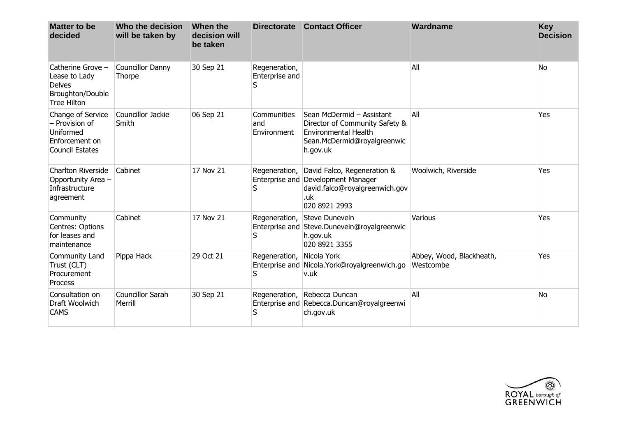| <b>Matter to be</b><br>decided                                                                | Who the decision<br>will be taken by | When the<br>decision will<br>be taken | <b>Directorate</b>                   | <b>Contact Officer</b>                                                                                                                | Wardname                              | <b>Key</b><br><b>Decision</b> |
|-----------------------------------------------------------------------------------------------|--------------------------------------|---------------------------------------|--------------------------------------|---------------------------------------------------------------------------------------------------------------------------------------|---------------------------------------|-------------------------------|
| Catherine Grove -<br>Lease to Lady<br><b>Delves</b><br>Broughton/Double<br><b>Tree Hilton</b> | Councillor Danny<br>Thorpe           | 30 Sep 21                             | Regeneration,<br>Enterprise and<br>S |                                                                                                                                       | All                                   | No                            |
| Change of Service<br>- Provision of<br>Uniformed<br>Enforcement on<br><b>Council Estates</b>  | Councillor Jackie<br>Smith           | 06 Sep 21                             | Communities<br>and<br>Environment    | Sean McDermid - Assistant<br>Director of Community Safety &<br><b>Environmental Health</b><br>Sean.McDermid@royalgreenwic<br>h.gov.uk | All                                   | Yes                           |
| <b>Charlton Riverside</b><br>Opportunity Area -<br>Infrastructure<br>agreement                | Cabinet                              | 17 Nov 21                             | Regeneration,<br>S                   | David Falco, Regeneration &<br>Enterprise and Development Manager<br>david.falco@royalgreenwich.gov<br>.uk<br>020 8921 2993           | Woolwich, Riverside                   | Yes                           |
| Community<br>Centres: Options<br>for leases and<br>maintenance                                | Cabinet                              | 17 Nov 21                             | S                                    | Regeneration, Steve Dunevein<br>Enterprise and Steve.Dunevein@royalgreenwic<br>h.gov.uk<br>020 8921 3355                              | Various                               | Yes                           |
| Community Land<br>Trust (CLT)<br>Procurement<br>Process                                       | Pippa Hack                           | 29 Oct 21                             | Regeneration,<br>S                   | Nicola York<br>Enterprise and Nicola. York@royalgreenwich.go<br>v.uk                                                                  | Abbey, Wood, Blackheath,<br>Westcombe | Yes                           |
| Consultation on<br>Draft Woolwich<br><b>CAMS</b>                                              | <b>Councillor Sarah</b><br>Merrill   | 30 Sep 21                             | S                                    | Regeneration, Rebecca Duncan<br>Enterprise and Rebecca.Duncan@royalgreenwi<br>ch.gov.uk                                               | All                                   | <b>No</b>                     |

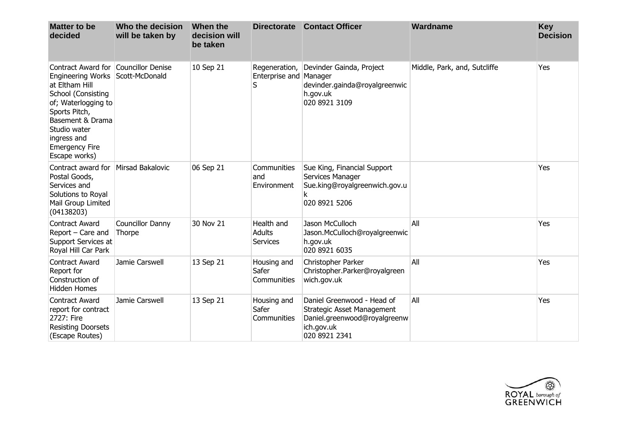| <b>Matter to be</b><br>decided                                                                                                                                                                                              | Who the decision<br>will be taken by       | When the<br>decision will<br>be taken | <b>Directorate</b>                             | <b>Contact Officer</b>                                                                                                  | Wardname                     | <b>Key</b><br><b>Decision</b> |
|-----------------------------------------------------------------------------------------------------------------------------------------------------------------------------------------------------------------------------|--------------------------------------------|---------------------------------------|------------------------------------------------|-------------------------------------------------------------------------------------------------------------------------|------------------------------|-------------------------------|
| Contract Award for<br><b>Engineering Works</b><br>at Eltham Hill<br>School (Consisting<br>of; Waterlogging to<br>Sports Pitch,<br>Basement & Drama<br>Studio water<br>ingress and<br><b>Emergency Fire</b><br>Escape works) | <b>Councillor Denise</b><br>Scott-McDonald | 10 Sep 21                             | Regeneration,<br>Enterprise and Manager<br>S   | Devinder Gainda, Project<br>devinder.gainda@royalgreenwic<br>h.gov.uk<br>020 8921 3109                                  | Middle, Park, and, Sutcliffe | Yes                           |
| Contract award for<br>Postal Goods,<br>Services and<br>Solutions to Royal<br>Mail Group Limited<br>(04138203)                                                                                                               | <b>Mirsad Bakalovic</b>                    | 06 Sep 21                             | Communities<br>and<br>Environment              | Sue King, Financial Support<br>Services Manager<br>Sue.king@royalgreenwich.gov.u<br>k<br>020 8921 5206                  |                              | Yes                           |
| <b>Contract Award</b><br>Report – Care and<br>Support Services at<br>Royal Hill Car Park                                                                                                                                    | Councillor Danny<br>Thorpe                 | 30 Nov 21                             | Health and<br><b>Adults</b><br><b>Services</b> | Jason McCulloch<br>Jason.McCulloch@royalgreenwic<br>h.gov.uk<br>020 8921 6035                                           | All                          | Yes                           |
| <b>Contract Award</b><br>Report for<br>Construction of<br><b>Hidden Homes</b>                                                                                                                                               | Jamie Carswell                             | 13 Sep 21                             | Housing and<br>Safer<br>Communities            | Christopher Parker<br>Christopher.Parker@royalgreen<br>wich.gov.uk                                                      | All                          | Yes                           |
| <b>Contract Award</b><br>report for contract<br>2727: Fire<br><b>Resisting Doorsets</b><br>(Escape Routes)                                                                                                                  | Jamie Carswell                             | 13 Sep 21                             | Housing and<br>Safer<br>Communities            | Daniel Greenwood - Head of<br>Strategic Asset Management<br>Daniel.greenwood@royalgreenw<br>ich.gov.uk<br>020 8921 2341 | All                          | Yes                           |

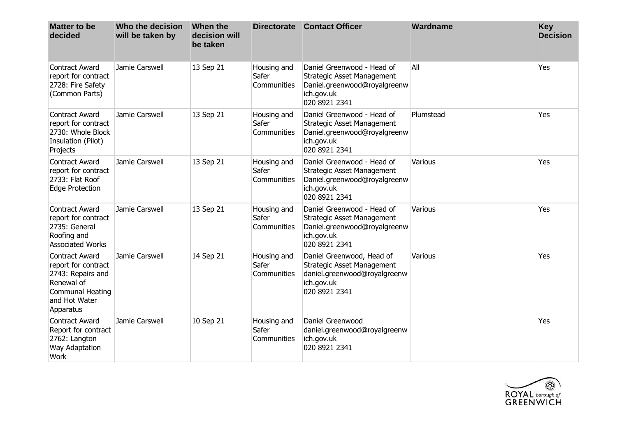| <b>Matter to be</b><br>decided                                                                                                    | Who the decision<br>will be taken by | When the<br>decision will<br>be taken | <b>Directorate</b>                  | <b>Contact Officer</b>                                                                                                         | Wardname  | <b>Key</b><br><b>Decision</b> |
|-----------------------------------------------------------------------------------------------------------------------------------|--------------------------------------|---------------------------------------|-------------------------------------|--------------------------------------------------------------------------------------------------------------------------------|-----------|-------------------------------|
| <b>Contract Award</b><br>report for contract<br>2728: Fire Safety<br>(Common Parts)                                               | Jamie Carswell                       | 13 Sep 21                             | Housing and<br>Safer<br>Communities | Daniel Greenwood - Head of<br><b>Strategic Asset Management</b><br>Daniel.greenwood@royalgreenw<br>ich.gov.uk<br>020 8921 2341 | All       | Yes                           |
| <b>Contract Award</b><br>report for contract<br>2730: Whole Block<br>Insulation (Pilot)<br>Projects                               | Jamie Carswell                       | 13 Sep 21                             | Housing and<br>Safer<br>Communities | Daniel Greenwood - Head of<br>Strategic Asset Management<br>Daniel.greenwood@royalgreenw<br>ich.gov.uk<br>020 8921 2341        | Plumstead | Yes                           |
| <b>Contract Award</b><br>report for contract<br>2733: Flat Roof<br>Edge Protection                                                | Jamie Carswell                       | 13 Sep 21                             | Housing and<br>Safer<br>Communities | Daniel Greenwood - Head of<br>Strategic Asset Management<br>Daniel.greenwood@royalgreenw<br>ich.gov.uk<br>020 8921 2341        | Various   | Yes                           |
| <b>Contract Award</b><br>report for contract<br>2735: General<br>Roofing and<br><b>Associated Works</b>                           | Jamie Carswell                       | 13 Sep 21                             | Housing and<br>Safer<br>Communities | Daniel Greenwood - Head of<br>Strategic Asset Management<br>Daniel.greenwood@royalgreenw<br>ich.gov.uk<br>020 8921 2341        | Various   | Yes                           |
| <b>Contract Award</b><br>report for contract<br>2743: Repairs and<br>Renewal of<br>Communal Heating<br>and Hot Water<br>Apparatus | Jamie Carswell                       | 14 Sep 21                             | Housing and<br>Safer<br>Communities | Daniel Greenwood, Head of<br><b>Strategic Asset Management</b><br>daniel.greenwood@royalgreenw<br>ich.gov.uk<br>020 8921 2341  | Various   | Yes                           |
| <b>Contract Award</b><br>Report for contract<br>2762: Langton<br>Way Adaptation<br><b>Work</b>                                    | Jamie Carswell                       | 10 Sep 21                             | Housing and<br>Safer<br>Communities | Daniel Greenwood<br>daniel.greenwood@royalgreenw<br>ich.gov.uk<br>020 8921 2341                                                |           | Yes                           |

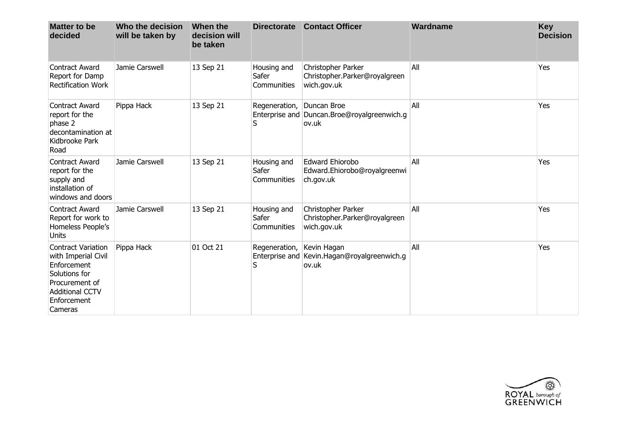| <b>Matter to be</b><br>decided                                                                                                                         | Who the decision<br>will be taken by | When the<br>decision will<br>be taken | <b>Directorate</b>                  | <b>Contact Officer</b>                                              | Wardname | <b>Key</b><br><b>Decision</b> |
|--------------------------------------------------------------------------------------------------------------------------------------------------------|--------------------------------------|---------------------------------------|-------------------------------------|---------------------------------------------------------------------|----------|-------------------------------|
| <b>Contract Award</b><br>Report for Damp<br><b>Rectification Work</b>                                                                                  | Jamie Carswell                       | 13 Sep 21                             | Housing and<br>Safer<br>Communities | Christopher Parker<br>Christopher.Parker@royalgreen<br>wich.gov.uk  | All      | Yes                           |
| <b>Contract Award</b><br>report for the<br>phase 2<br>decontamination at<br>Kidbrooke Park<br>Road                                                     | Pippa Hack                           | 13 Sep 21                             | Regeneration,<br>S                  | Duncan Broe<br>Enterprise and Duncan.Broe@royalgreenwich.g<br>ov.uk | All      | Yes                           |
| <b>Contract Award</b><br>report for the<br>supply and<br>installation of<br>windows and doors                                                          | Jamie Carswell                       | 13 Sep 21                             | Housing and<br>Safer<br>Communities | <b>Edward Ehiorobo</b><br>Edward.Ehiorobo@royalgreenwi<br>ch.gov.uk | All      | Yes                           |
| <b>Contract Award</b><br>Report for work to<br>Homeless People's<br>Units                                                                              | Jamie Carswell                       | 13 Sep 21                             | Housing and<br>Safer<br>Communities | Christopher Parker<br>Christopher.Parker@royalgreen<br>wich.gov.uk  | All      | Yes                           |
| <b>Contract Variation</b><br>with Imperial Civil<br>Enforcement<br>Solutions for<br>Procurement of<br><b>Additional CCTV</b><br>Enforcement<br>Cameras | Pippa Hack                           | 01 Oct 21                             | Regeneration,<br>S                  | Kevin Hagan<br>Enterprise and Kevin.Hagan@royalgreenwich.g<br>ov.uk | All      | Yes                           |

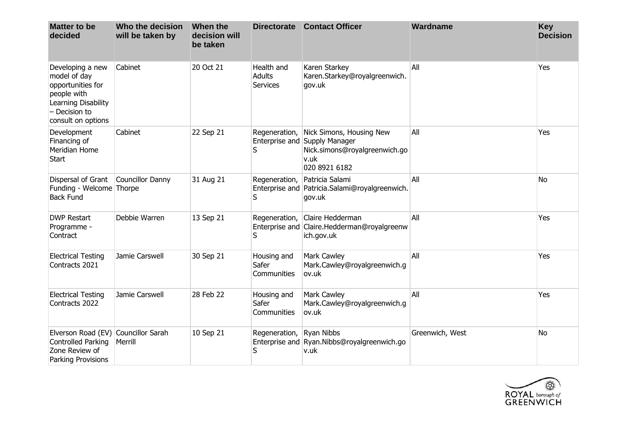| <b>Matter to be</b><br>decided                                                                                                       | Who the decision<br>will be taken by | When the<br>decision will<br>be taken |                                                | Directorate Contact Officer                                                                                         | Wardname        | Key<br><b>Decision</b> |
|--------------------------------------------------------------------------------------------------------------------------------------|--------------------------------------|---------------------------------------|------------------------------------------------|---------------------------------------------------------------------------------------------------------------------|-----------------|------------------------|
| Developing a new<br>model of day<br>opportunities for<br>people with<br>Learning Disability<br>$-$ Decision to<br>consult on options | Cabinet                              | 20 Oct 21                             | Health and<br><b>Adults</b><br><b>Services</b> | Karen Starkey<br>Karen.Starkey@royalgreenwich.<br>gov.uk                                                            | All             | Yes                    |
| Development<br>Financing of<br>Meridian Home<br><b>Start</b>                                                                         | Cabinet                              | 22 Sep 21                             | Regeneration,<br>S                             | Nick Simons, Housing New<br>Enterprise and Supply Manager<br>Nick.simons@royalgreenwich.go<br>v.uk<br>020 8921 6182 | All             | Yes                    |
| Dispersal of Grant<br>Funding - Welcome Thorpe<br><b>Back Fund</b>                                                                   | <b>Councillor Danny</b>              | 31 Aug 21                             | Regeneration,<br>S                             | Patricia Salami<br>Enterprise and Patricia.Salami@royalgreenwich.<br>gov.uk                                         | All             | No                     |
| <b>DWP Restart</b><br>Programme -<br>Contract                                                                                        | Debbie Warren                        | 13 Sep 21                             | Regeneration,<br>S                             | Claire Hedderman<br>Enterprise and Claire.Hedderman@royalgreenw<br>ich.gov.uk                                       | All             | Yes                    |
| <b>Electrical Testing</b><br>Contracts 2021                                                                                          | Jamie Carswell                       | 30 Sep 21                             | Housing and<br>Safer<br>Communities            | Mark Cawley<br>Mark.Cawley@royalgreenwich.g<br>ov.uk                                                                | All             | Yes                    |
| <b>Electrical Testing</b><br>Contracts 2022                                                                                          | Jamie Carswell                       | 28 Feb 22                             | Housing and<br>Safer<br>Communities            | Mark Cawley<br>Mark.Cawley@royalgreenwich.g<br>ov.uk                                                                | All             | Yes                    |
| Elverson Road (EV)<br>Controlled Parking<br>Zone Review of<br>Parking Provisions                                                     | Councillor Sarah<br>Merrill          | 10 Sep 21                             | Regeneration,<br>S                             | <b>Ryan Nibbs</b><br>Enterprise and Ryan.Nibbs@royalgreenwich.go<br>v.uk                                            | Greenwich, West | <b>No</b>              |

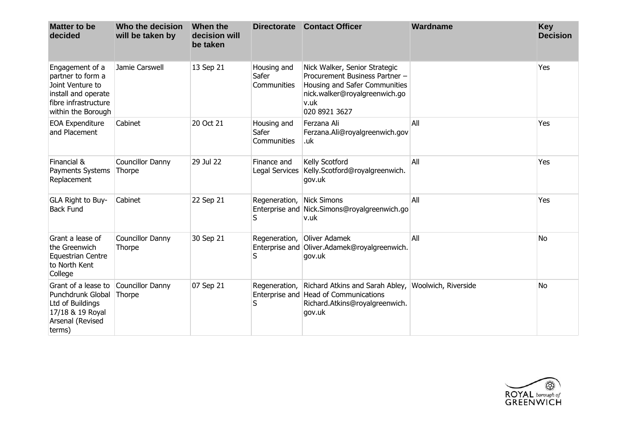| <b>Matter to be</b><br>decided                                                                                                | Who the decision<br>will be taken by | When the<br>decision will<br>be taken | <b>Directorate</b>                  | <b>Contact Officer</b>                                                                                                                                     | Wardname            | <b>Key</b><br><b>Decision</b> |
|-------------------------------------------------------------------------------------------------------------------------------|--------------------------------------|---------------------------------------|-------------------------------------|------------------------------------------------------------------------------------------------------------------------------------------------------------|---------------------|-------------------------------|
| Engagement of a<br>partner to form a<br>Joint Venture to<br>install and operate<br>fibre infrastructure<br>within the Borough | Jamie Carswell                       | 13 Sep 21                             | Housing and<br>Safer<br>Communities | Nick Walker, Senior Strategic<br>Procurement Business Partner -<br>Housing and Safer Communities<br>nick.walker@royalgreenwich.go<br>v.uk<br>020 8921 3627 |                     | Yes                           |
| <b>EOA Expenditure</b><br>and Placement                                                                                       | Cabinet                              | 20 Oct 21                             | Housing and<br>Safer<br>Communities | Ferzana Ali<br>Ferzana.Ali@royalgreenwich.gov<br>.uk                                                                                                       | All                 | Yes                           |
| Financial &<br>Payments Systems<br>Replacement                                                                                | Councillor Danny<br>Thorpe           | 29 Jul 22                             | Finance and<br>Legal Services       | Kelly Scotford<br>Kelly.Scotford@royalgreenwich.<br>gov.uk                                                                                                 | All                 | Yes                           |
| GLA Right to Buy-<br><b>Back Fund</b>                                                                                         | Cabinet                              | 22 Sep 21                             | Regeneration,<br>S                  | Nick Simons<br>Enterprise and Nick.Simons@royalgreenwich.go<br>v.uk                                                                                        | All                 | Yes                           |
| Grant a lease of<br>the Greenwich<br><b>Equestrian Centre</b><br>to North Kent<br>College                                     | Councillor Danny<br>Thorpe           | 30 Sep 21                             | Regeneration,<br>S                  | Oliver Adamek<br>Enterprise and Oliver.Adamek@royalgreenwich.<br>gov.uk                                                                                    | All                 | <b>No</b>                     |
| Grant of a lease to<br>Punchdrunk Global<br>Ltd of Buildings<br>17/18 & 19 Royal<br>Arsenal (Revised<br>terms)                | Councillor Danny<br>Thorpe           | 07 Sep 21                             | Regeneration,<br>S                  | Richard Atkins and Sarah Abley,<br>Enterprise and Head of Communications<br>Richard.Atkins@royalgreenwich.<br>gov.uk                                       | Woolwich, Riverside | No.                           |

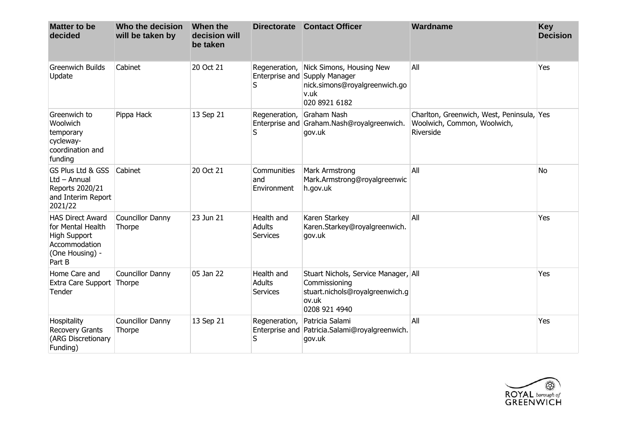| <b>Matter to be</b><br>decided                                                                                    | Who the decision<br>will be taken by | When the<br>decision will<br>be taken |                                                | Directorate Contact Officer                                                                                         | Wardname                                                                              | <b>Key</b><br><b>Decision</b> |
|-------------------------------------------------------------------------------------------------------------------|--------------------------------------|---------------------------------------|------------------------------------------------|---------------------------------------------------------------------------------------------------------------------|---------------------------------------------------------------------------------------|-------------------------------|
| <b>Greenwich Builds</b><br>Update                                                                                 | Cabinet                              | 20 Oct 21                             | Regeneration,<br>S                             | Nick Simons, Housing New<br>Enterprise and Supply Manager<br>nick.simons@royalgreenwich.go<br>v.uk<br>020 8921 6182 | All                                                                                   | Yes                           |
| Greenwich to<br>Woolwich<br>temporary<br>cycleway-<br>coordination and<br>funding                                 | Pippa Hack                           | 13 Sep 21                             | Regeneration,<br>S                             | Graham Nash<br>Enterprise and Graham.Nash@royalgreenwich.<br>gov.uk                                                 | Charlton, Greenwich, West, Peninsula, Yes<br>Woolwich, Common, Woolwich,<br>Riverside |                               |
| GS Plus Ltd & GSS<br>$Ltd - Annual$<br>Reports 2020/21<br>and Interim Report<br>2021/22                           | Cabinet                              | 20 Oct 21                             | Communities<br>and<br>Environment              | Mark Armstrong<br>Mark.Armstrong@royalgreenwic<br>h.gov.uk                                                          | All                                                                                   | <b>No</b>                     |
| <b>HAS Direct Award</b><br>for Mental Health<br><b>High Support</b><br>Accommodation<br>(One Housing) -<br>Part B | Councillor Danny<br>Thorpe           | 23 Jun 21                             | Health and<br><b>Adults</b><br><b>Services</b> | Karen Starkey<br>Karen.Starkey@royalgreenwich.<br>gov.uk                                                            | All                                                                                   | Yes                           |
| Home Care and<br>Extra Care Support Thorpe<br>Tender                                                              | Councillor Danny                     | 05 Jan 22                             | Health and<br><b>Adults</b><br>Services        | Stuart Nichols, Service Manager, All<br>Commissioning<br>stuart.nichols@royalgreenwich.g<br>ov.uk<br>0208 921 4940  |                                                                                       | Yes                           |
| Hospitality<br><b>Recovery Grants</b><br>(ARG Discretionary<br>Funding)                                           | Councillor Danny<br>Thorpe           | 13 Sep 21                             | Regeneration,<br>S                             | Patricia Salami<br>Enterprise and Patricia.Salami@royalgreenwich.<br>gov.uk                                         | All                                                                                   | Yes                           |

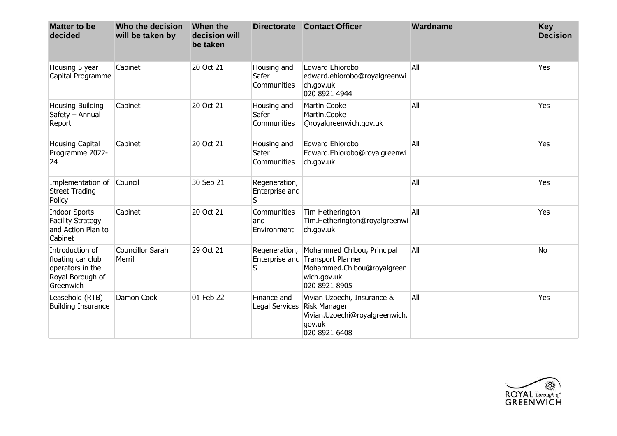| <b>Matter to be</b><br>decided                                                            | Who the decision<br>will be taken by | When the<br>decision will<br>be taken |                                      | Directorate Contact Officer                                                                                                  | Wardname | <b>Key</b><br><b>Decision</b> |
|-------------------------------------------------------------------------------------------|--------------------------------------|---------------------------------------|--------------------------------------|------------------------------------------------------------------------------------------------------------------------------|----------|-------------------------------|
| Housing 5 year<br>Capital Programme                                                       | Cabinet                              | 20 Oct 21                             | Housing and<br>Safer<br>Communities  | <b>Edward Ehiorobo</b><br>edward.ehiorobo@royalgreenwi<br>ch.gov.uk<br>020 8921 4944                                         | All      | Yes                           |
| <b>Housing Building</b><br>Safety - Annual<br>Report                                      | Cabinet                              | 20 Oct 21                             | Housing and<br>Safer<br>Communities  | <b>Martin Cooke</b><br>Martin.Cooke<br>@royalgreenwich.gov.uk                                                                | All      | Yes                           |
| <b>Housing Capital</b><br>Programme 2022-<br>24                                           | Cabinet                              | 20 Oct 21                             | Housing and<br>Safer<br>Communities  | <b>Edward Ehiorobo</b><br>Edward.Ehiorobo@royalgreenwi<br>ch.gov.uk                                                          | All      | Yes                           |
| Implementation of<br><b>Street Trading</b><br>Policy                                      | Council                              | 30 Sep 21                             | Regeneration,<br>Enterprise and<br>S |                                                                                                                              | All      | Yes                           |
| <b>Indoor Sports</b><br><b>Facility Strategy</b><br>and Action Plan to<br>Cabinet         | Cabinet                              | 20 Oct 21                             | Communities<br>and<br>Environment    | Tim Hetherington<br>Tim.Hetherington@royalgreenwi<br>ch.gov.uk                                                               | All      | Yes                           |
| Introduction of<br>floating car club<br>operators in the<br>Royal Borough of<br>Greenwich | <b>Councillor Sarah</b><br>Merrill   | 29 Oct 21                             | Regeneration,<br>S                   | Mohammed Chibou, Principal<br>Enterprise and Transport Planner<br>Mohammed.Chibou@royalgreen<br>wich.gov.uk<br>020 8921 8905 | All      | <b>No</b>                     |
| Leasehold (RTB)<br><b>Building Insurance</b>                                              | Damon Cook                           | 01 Feb 22                             | Finance and<br>Legal Services        | Vivian Uzoechi, Insurance &<br><b>Risk Manager</b><br>Vivian.Uzoechi@royalgreenwich.<br>gov.uk<br>020 8921 6408              | All      | Yes                           |

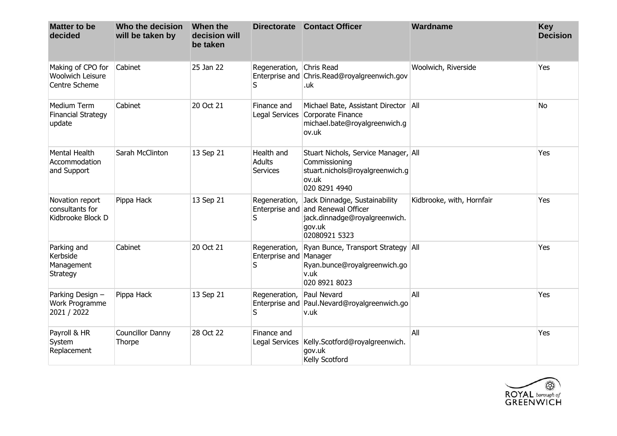| <b>Matter to be</b><br>decided                          | Who the decision<br>will be taken by | When the<br>decision will<br>be taken |                                                | Directorate Contact Officer                                                                                                     | Wardname                  | <b>Key</b><br><b>Decision</b> |
|---------------------------------------------------------|--------------------------------------|---------------------------------------|------------------------------------------------|---------------------------------------------------------------------------------------------------------------------------------|---------------------------|-------------------------------|
| Making of CPO for<br>Woolwich Leisure<br>Centre Scheme  | Cabinet                              | 25 Jan 22                             | Regeneration,<br>S                             | Chris Read<br>Enterprise and Chris.Read@royalgreenwich.gov<br>.uk                                                               | Woolwich, Riverside       | Yes                           |
| Medium Term<br><b>Financial Strategy</b><br>update      | Cabinet                              | 20 Oct 21                             | Finance and                                    | Michael Bate, Assistant Director   All<br>Legal Services Corporate Finance<br>michael.bate@royalgreenwich.g<br>ov.uk            |                           | <b>No</b>                     |
| <b>Mental Health</b><br>Accommodation<br>and Support    | Sarah McClinton                      | 13 Sep 21                             | Health and<br><b>Adults</b><br><b>Services</b> | Stuart Nichols, Service Manager, All<br>Commissioning<br>stuart.nichols@royalgreenwich.g<br>ov.uk<br>020 8291 4940              |                           | Yes                           |
| Novation report<br>consultants for<br>Kidbrooke Block D | Pippa Hack                           | 13 Sep 21                             | Regeneration,<br>S                             | Jack Dinnadge, Sustainability<br>Enterprise and and Renewal Officer<br>jack.dinnadge@royalgreenwich.<br>gov.uk<br>02080921 5323 | Kidbrooke, with, Hornfair | Yes                           |
| Parking and<br>Kerbside<br>Management<br>Strategy       | Cabinet                              | 20 Oct 21                             | Regeneration,<br>Enterprise and Manager<br>S   | Ryan Bunce, Transport Strategy All<br>Ryan.bunce@royalgreenwich.go<br>v.uk<br>020 8921 8023                                     |                           | Yes                           |
| Parking Design -<br>Work Programme<br>2021 / 2022       | Pippa Hack                           | 13 Sep 21                             | Regeneration,<br>S                             | Paul Nevard<br>Enterprise and Paul.Nevard@royalgreenwich.go<br>v.uk                                                             | All                       | Yes                           |
| Payroll & HR<br>System<br>Replacement                   | <b>Councillor Danny</b><br>Thorpe    | 28 Oct 22                             | Finance and                                    | Legal Services   Kelly. Scotford@royalgreenwich.<br>gov.uk<br>Kelly Scotford                                                    | All                       | Yes                           |

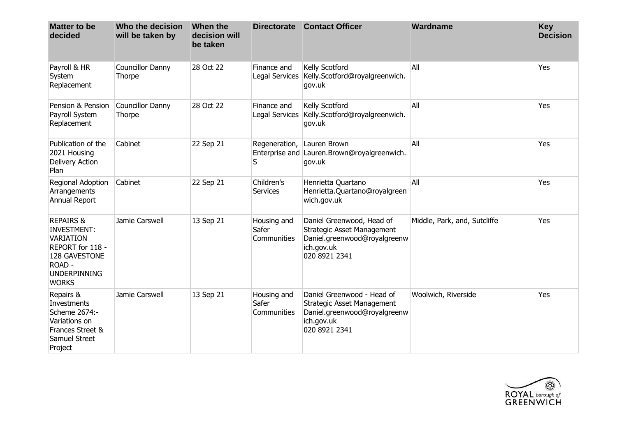| <b>Matter to be</b><br>decided                                                                                                                       | Who the decision<br>will be taken by | When the<br>decision will<br>be taken | <b>Directorate</b>                  | <b>Contact Officer</b>                                                                                                        | Wardname                     | <b>Key</b><br><b>Decision</b> |
|------------------------------------------------------------------------------------------------------------------------------------------------------|--------------------------------------|---------------------------------------|-------------------------------------|-------------------------------------------------------------------------------------------------------------------------------|------------------------------|-------------------------------|
| Payroll & HR<br>System<br>Replacement                                                                                                                | Councillor Danny<br>Thorpe           | 28 Oct 22                             | Finance and<br>Legal Services       | Kelly Scotford<br>Kelly.Scotford@royalgreenwich.<br>gov.uk                                                                    | All                          | Yes                           |
| Pension & Pension<br>Payroll System<br>Replacement                                                                                                   | Councillor Danny<br>Thorpe           | 28 Oct 22                             | Finance and<br>Legal Services       | Kelly Scotford<br>Kelly.Scotford@royalgreenwich.<br>gov.uk                                                                    | All                          | Yes                           |
| Publication of the<br>2021 Housing<br>Delivery Action<br>Plan                                                                                        | Cabinet                              | 22 Sep 21                             | Regeneration,<br>S                  | Lauren Brown<br>Enterprise and Lauren.Brown@royalgreenwich.<br>gov.uk                                                         | All                          | Yes                           |
| Regional Adoption<br>Arrangements<br>Annual Report                                                                                                   | Cabinet                              | 22 Sep 21                             | Children's<br><b>Services</b>       | Henrietta Quartano<br>Henrietta.Quartano@royalgreen<br>wich.gov.uk                                                            | All                          | Yes                           |
| <b>REPAIRS &amp;</b><br><b>INVESTMENT:</b><br><b>VARIATION</b><br>REPORT for 118 -<br>128 GAVESTONE<br>ROAD -<br><b>UNDERPINNING</b><br><b>WORKS</b> | Jamie Carswell                       | 13 Sep 21                             | Housing and<br>Safer<br>Communities | Daniel Greenwood, Head of<br><b>Strategic Asset Management</b><br>Daniel.greenwood@royalgreenw<br>ich.gov.uk<br>020 8921 2341 | Middle, Park, and, Sutcliffe | Yes                           |
| Repairs &<br>Investments<br>Scheme 2674:-<br>Variations on<br>Frances Street &<br>Samuel Street<br>Project                                           | Jamie Carswell                       | 13 Sep 21                             | Housing and<br>Safer<br>Communities | Daniel Greenwood - Head of<br>Strategic Asset Management<br>Daniel.greenwood@royalgreenw<br>ich.gov.uk<br>020 8921 2341       | Woolwich, Riverside          | Yes                           |

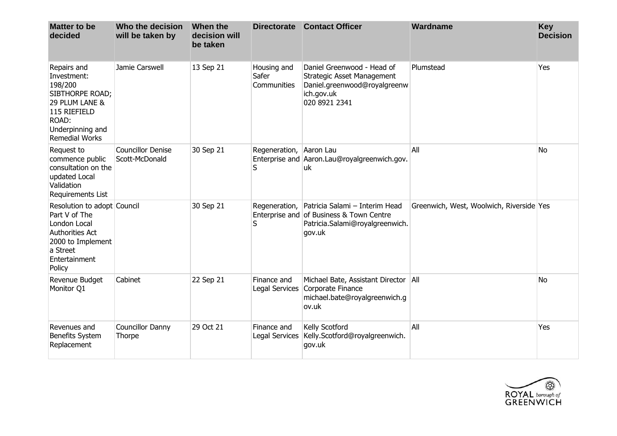| <b>Matter to be</b><br>decided                                                                                                                   | Who the decision<br>will be taken by       | When the<br>decision will<br>be taken | <b>Directorate</b>                  | <b>Contact Officer</b>                                                                                                                  | Wardname                                 | <b>Key</b><br><b>Decision</b> |
|--------------------------------------------------------------------------------------------------------------------------------------------------|--------------------------------------------|---------------------------------------|-------------------------------------|-----------------------------------------------------------------------------------------------------------------------------------------|------------------------------------------|-------------------------------|
| Repairs and<br>Investment:<br>198/200<br>SIBTHORPE ROAD;<br>29 PLUM LANE &<br>115 RIEFIELD<br>ROAD:<br>Underpinning and<br><b>Remedial Works</b> | Jamie Carswell                             | 13 Sep 21                             | Housing and<br>Safer<br>Communities | Daniel Greenwood - Head of<br>Strategic Asset Management<br>Daniel.greenwood@royalgreenw<br>ich.gov.uk<br>020 8921 2341                 | Plumstead                                | Yes                           |
| Request to<br>commence public<br>consultation on the<br>updated Local<br>Validation<br>Requirements List                                         | <b>Councillor Denise</b><br>Scott-McDonald | 30 Sep 21                             | Regeneration, Aaron Lau<br>S        | Enterprise and Aaron.Lau@royalgreenwich.gov.<br>uk                                                                                      | All                                      | <b>No</b>                     |
| Resolution to adopt Council<br>Part V of The<br>London Local<br>Authorities Act<br>2000 to Implement<br>a Street<br>Entertainment<br>Policy      |                                            | 30 Sep 21                             | S                                   | Regeneration,   Patricia Salami - Interim Head<br>Enterprise and of Business & Town Centre<br>Patricia.Salami@royalgreenwich.<br>gov.uk | Greenwich, West, Woolwich, Riverside Yes |                               |
| Revenue Budget<br>Monitor Q1                                                                                                                     | Cabinet                                    | 22 Sep 21                             | Finance and<br>Legal Services       | Michael Bate, Assistant Director   All<br>Corporate Finance<br>michael.bate@royalgreenwich.g<br>ov.uk                                   |                                          | No                            |
| Revenues and<br>Benefits System<br>Replacement                                                                                                   | <b>Councillor Danny</b><br>Thorpe          | 29 Oct 21                             | Finance and                         | Kelly Scotford<br>Legal Services   Kelly. Scotford@royalgreenwich.<br>gov.uk                                                            | All                                      | Yes                           |

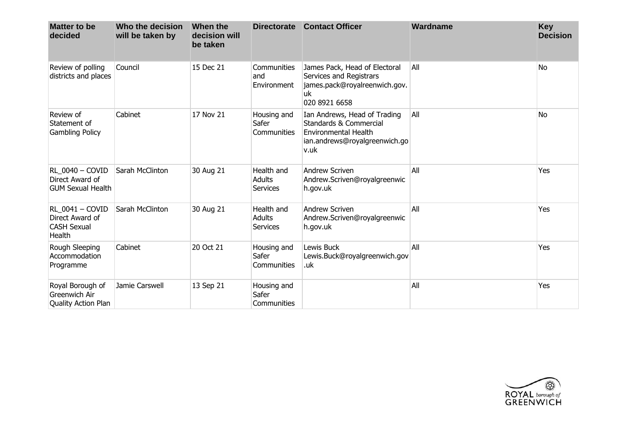| <b>Matter to be</b><br>decided                                     | Who the decision<br>will be taken by | When the<br>decision will<br>be taken | <b>Directorate</b>                             | <b>Contact Officer</b>                                                                                                                    | Wardname | <b>Key</b><br><b>Decision</b> |
|--------------------------------------------------------------------|--------------------------------------|---------------------------------------|------------------------------------------------|-------------------------------------------------------------------------------------------------------------------------------------------|----------|-------------------------------|
| Review of polling<br>districts and places                          | Council                              | 15 Dec 21                             | <b>Communities</b><br>and<br>Environment       | James Pack, Head of Electoral<br>Services and Registrars<br>james.pack@royalreenwich.gov.<br>uk<br>020 8921 6658                          | All      | <b>No</b>                     |
| Review of<br>Statement of<br><b>Gambling Policy</b>                | Cabinet                              | 17 Nov 21                             | Housing and<br>Safer<br>Communities            | Ian Andrews, Head of Trading<br><b>Standards &amp; Commercial</b><br><b>Environmental Health</b><br>ian.andrews@royalgreenwich.go<br>v.uk | All      | <b>No</b>                     |
| RL 0040 - COVID<br>Direct Award of<br><b>GUM Sexual Health</b>     | Sarah McClinton                      | 30 Aug 21                             | Health and<br><b>Adults</b><br><b>Services</b> | <b>Andrew Scriven</b><br>Andrew.Scriven@royalgreenwic<br>h.gov.uk                                                                         | All      | Yes                           |
| RL 0041 - COVID<br>Direct Award of<br><b>CASH Sexual</b><br>Health | Sarah McClinton                      | 30 Aug 21                             | Health and<br><b>Adults</b><br><b>Services</b> | <b>Andrew Scriven</b><br>Andrew.Scriven@royalgreenwic<br>h.gov.uk                                                                         | All      | Yes                           |
| Rough Sleeping<br>Accommodation<br>Programme                       | Cabinet                              | 20 Oct 21                             | Housing and<br>Safer<br>Communities            | Lewis Buck<br>Lewis.Buck@royalgreenwich.gov<br>.uk                                                                                        | All      | Yes                           |
| Royal Borough of<br>Greenwich Air<br>Quality Action Plan           | Jamie Carswell                       | 13 Sep 21                             | Housing and<br>Safer<br>Communities            |                                                                                                                                           | All      | Yes                           |

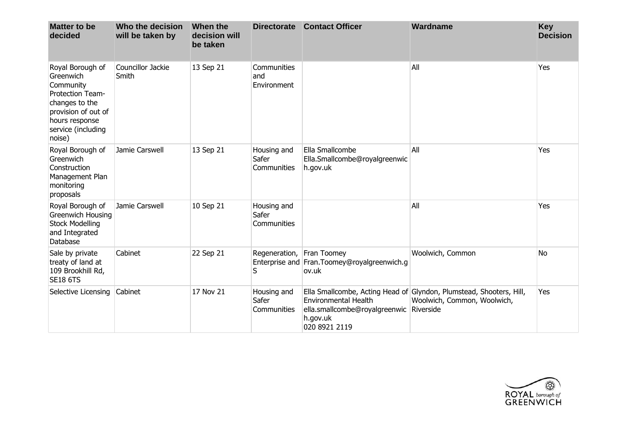| <b>Matter to be</b><br>decided                                                                                                                            | Who the decision<br>will be taken by | When the<br>decision will<br>be taken | <b>Directorate</b>                  | <b>Contact Officer</b>                                                                              | Wardname                                                                                           | <b>Key</b><br><b>Decision</b> |
|-----------------------------------------------------------------------------------------------------------------------------------------------------------|--------------------------------------|---------------------------------------|-------------------------------------|-----------------------------------------------------------------------------------------------------|----------------------------------------------------------------------------------------------------|-------------------------------|
| Royal Borough of<br>Greenwich<br>Community<br>Protection Team-<br>changes to the<br>provision of out of<br>hours response<br>service (including<br>noise) | Councillor Jackie<br>Smith           | 13 Sep 21                             | Communities<br>and<br>Environment   |                                                                                                     | All                                                                                                | Yes                           |
| Royal Borough of<br>Greenwich<br>Construction<br>Management Plan<br>monitoring<br>proposals                                                               | Jamie Carswell                       | 13 Sep 21                             | Housing and<br>Safer<br>Communities | Ella Smallcombe<br>Ella.Smallcombe@royalgreenwic<br>h.gov.uk                                        | All                                                                                                | Yes                           |
| Royal Borough of<br>Greenwich Housing<br><b>Stock Modelling</b><br>and Integrated<br>Database                                                             | Jamie Carswell                       | 10 Sep 21                             | Housing and<br>Safer<br>Communities |                                                                                                     | All                                                                                                | Yes                           |
| Sale by private<br>treaty of land at<br>109 Brookhill Rd,<br><b>SE18 6TS</b>                                                                              | Cabinet                              | 22 Sep 21                             | Regeneration, Fran Toomey<br>S      | Enterprise and Fran. Toomey@royalgreenwich.g<br>ov.uk                                               | Woolwich, Common                                                                                   | N <sub>o</sub>                |
| Selective Licensing Cabinet                                                                                                                               |                                      | 17 Nov 21                             | Housing and<br>Safer<br>Communities | <b>Environmental Health</b><br>ella.smallcombe@royalgreenwic Riverside<br>h.gov.uk<br>020 8921 2119 | Ella Smallcombe, Acting Head of Glyndon, Plumstead, Shooters, Hill,<br>Woolwich, Common, Woolwich, | Yes                           |

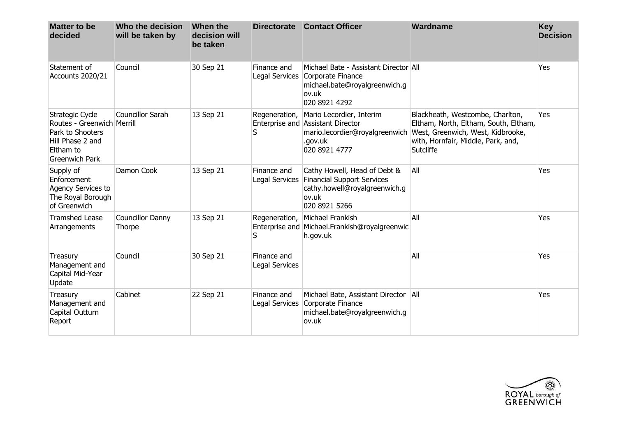| <b>Matter to be</b><br>decided                                                                                              | Who the decision<br>will be taken by | When the<br>decision will<br>be taken | <b>Directorate</b>            | <b>Contact Officer</b>                                                                                                               | Wardname                                                                                                                                                                                           | <b>Key</b><br><b>Decision</b> |
|-----------------------------------------------------------------------------------------------------------------------------|--------------------------------------|---------------------------------------|-------------------------------|--------------------------------------------------------------------------------------------------------------------------------------|----------------------------------------------------------------------------------------------------------------------------------------------------------------------------------------------------|-------------------------------|
| Statement of<br>Accounts 2020/21                                                                                            | Council                              | 30 Sep 21                             | Finance and                   | Michael Bate - Assistant Director All<br>Legal Services Corporate Finance<br>michael.bate@royalgreenwich.g<br>ov.uk<br>020 8921 4292 |                                                                                                                                                                                                    | Yes                           |
| Strategic Cycle<br>Routes - Greenwich Merrill<br>Park to Shooters<br>Hill Phase 2 and<br>Eltham to<br><b>Greenwich Park</b> | Councillor Sarah                     | 13 Sep 21                             | Regeneration,<br>S            | Mario Lecordier, Interim<br>Enterprise and Assistant Director<br>.gov.uk<br>020 8921 4777                                            | Blackheath, Westcombe, Charlton,<br>Eltham, North, Eltham, South, Eltham,<br>mario.lecordier@royalgreenwich   West, Greenwich, West, Kidbrooke,<br>with, Hornfair, Middle, Park, and,<br>Sutcliffe | Yes                           |
| Supply of<br>Enforcement<br>Agency Services to<br>The Royal Borough<br>of Greenwich                                         | Damon Cook                           | 13 Sep 21                             | Finance and                   | Cathy Howell, Head of Debt &<br>Legal Services Financial Support Services<br>cathy.howell@royalgreenwich.g<br>ov.uk<br>020 8921 5266 | All                                                                                                                                                                                                | Yes                           |
| <b>Tramshed Lease</b><br>Arrangements                                                                                       | Councillor Danny<br>Thorpe           | 13 Sep 21                             | Regeneration,<br>S            | Michael Frankish<br>Enterprise and Michael.Frankish@royalgreenwic<br>h.gov.uk                                                        | All                                                                                                                                                                                                | Yes                           |
| Treasury<br>Management and<br>Capital Mid-Year<br>Update                                                                    | Council                              | 30 Sep 21                             | Finance and<br>Legal Services |                                                                                                                                      | All                                                                                                                                                                                                | Yes                           |
| Treasury<br>Management and<br>Capital Outturn<br>Report                                                                     | Cabinet                              | 22 Sep 21                             | Finance and                   | Michael Bate, Assistant Director   All<br>Legal Services Corporate Finance<br>michael.bate@royalgreenwich.g<br>ov.uk                 |                                                                                                                                                                                                    | Yes                           |

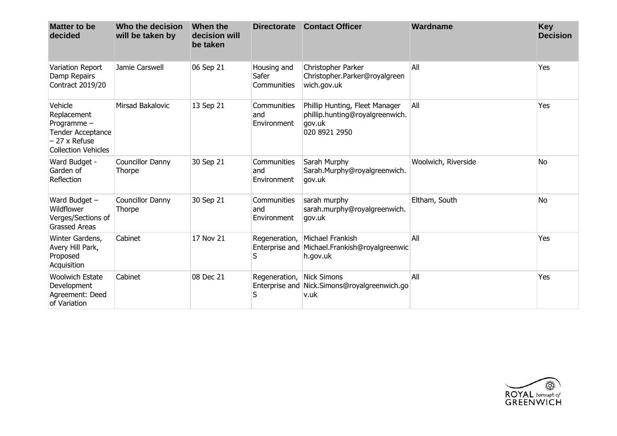| <b>Matter to be</b><br>decided                                                                                 | Who the decision<br>will be taken by | When the<br>decision will<br>be taken | <b>Directorate</b>                  | <b>Contact Officer</b>                                                                       | Wardname            | <b>Key</b><br><b>Decision</b> |
|----------------------------------------------------------------------------------------------------------------|--------------------------------------|---------------------------------------|-------------------------------------|----------------------------------------------------------------------------------------------|---------------------|-------------------------------|
| Variation Report<br>Damp Repairs<br>Contract 2019/20                                                           | Jamie Carswell                       | 06 Sep 21                             | Housing and<br>Safer<br>Communities | Christopher Parker<br>Christopher.Parker@royalgreen<br>wich.gov.uk                           | All                 | Yes                           |
| Vehicle<br>Replacement<br>Programme-<br>Tender Acceptance<br>$-27 \times$ Refuse<br><b>Collection Vehicles</b> | Mirsad Bakalovic                     | 13 Sep 21                             | Communities<br>and<br>Environment   | Phillip Hunting, Fleet Manager<br>phillip.hunting@royalgreenwich.<br>gov.uk<br>020 8921 2950 | All                 | Yes                           |
| Ward Budget -<br>Garden of<br>Reflection                                                                       | Councillor Danny<br>Thorpe           | 30 Sep 21                             | Communities<br>and<br>Environment   | Sarah Murphy<br>Sarah.Murphy@royalgreenwich.<br>gov.uk                                       | Woolwich, Riverside | <b>No</b>                     |
| Ward Budget -<br>Wildflower<br>Verges/Sections of<br><b>Grassed Areas</b>                                      | Councillor Danny<br>Thorpe           | 30 Sep 21                             | Communities<br>and<br>Environment   | sarah murphy<br>sarah.murphy@royalgreenwich.<br>gov.uk                                       | Eltham, South       | <b>No</b>                     |
| Winter Gardens,<br>Avery Hill Park,<br>Proposed<br>Acquisition                                                 | Cabinet                              | 17 Nov 21                             | S                                   | Regeneration, Michael Frankish<br>Enterprise and Michael.Frankish@royalgreenwic<br>h.gov.uk  | All                 | Yes                           |
| <b>Woolwich Estate</b><br>Development<br>Agreement: Deed<br>of Variation                                       | Cabinet                              | 08 Dec 21                             | Regeneration, Nick Simons<br>S      | Enterprise and Nick.Simons@royalgreenwich.go<br>v.uk                                         | All                 | Yes                           |